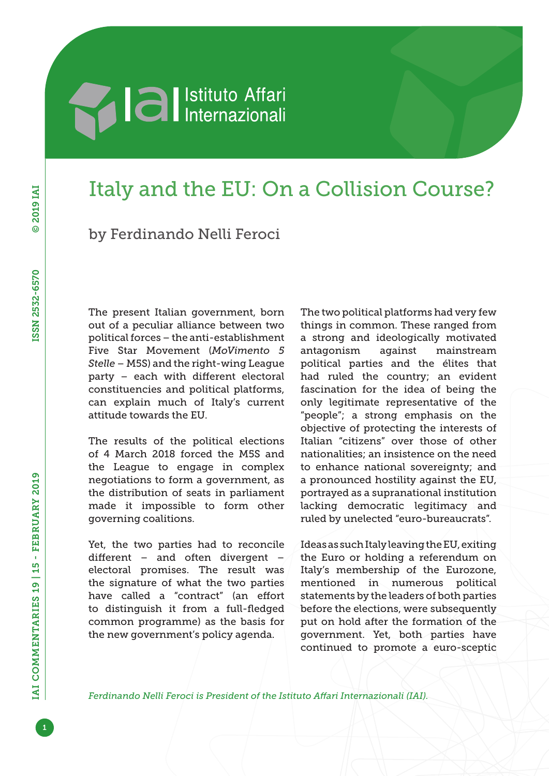# **Alla Septembra 1994**

## Italy and the EU: On a Collision Course?

by Ferdinando Nelli Feroci

The present Italian government, born out of a peculiar alliance between two political forces – the anti-establishment Five Star Movement (*MoVimento 5 Stelle* – M5S) and the right-wing League party – each with different electoral constituencies and political platforms, can explain much of Italy's current attitude towards the EU.

The results of the political elections of 4 March 2018 forced the M5S and the League to engage in complex negotiations to form a government, as the distribution of seats in parliament made it impossible to form other governing coalitions.

Yet, the two parties had to reconcile different – and often divergent – electoral promises. The result was the signature of what the two parties have called a "contract" (an effort to distinguish it from a full-fledged common programme) as the basis for the new government's policy agenda.

The two political platforms had very few things in common. These ranged from a strong and ideologically motivated antagonism against mainstream political parties and the élites that had ruled the country; an evident fascination for the idea of being the only legitimate representative of the "people"; a strong emphasis on the objective of protecting the interests of Italian "citizens" over those of other nationalities; an insistence on the need to enhance national sovereignty; and a pronounced hostility against the EU, portrayed as a supranational institution lacking democratic legitimacy and ruled by unelected "euro-bureaucrats".

Ideas as such Italy leaving the EU, exiting the Euro or holding a referendum on Italy's membership of the Eurozone, mentioned in numerous political statements by the leaders of both parties before the elections, were subsequently put on hold after the formation of the government. Yet, both parties have continued to promote a euro-sceptic

*Ferdinando Nelli Feroci is President of the Istituto Affari Internazionali (IAI).*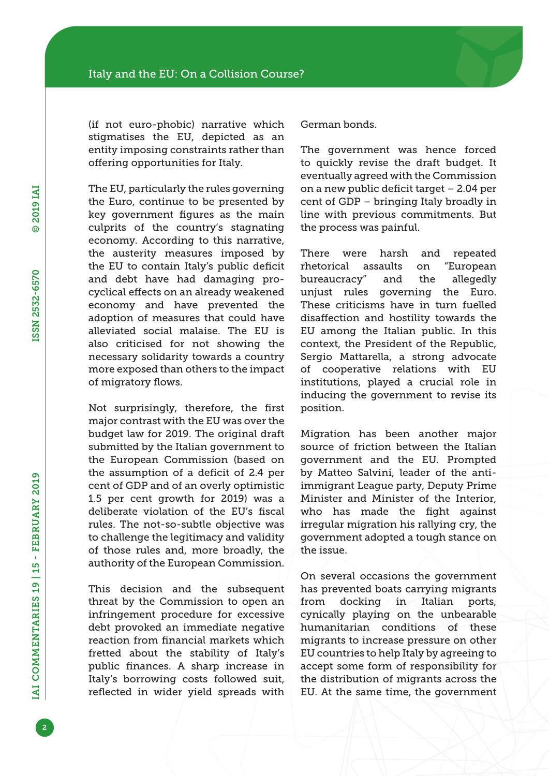(if not euro-phobic) narrative which stigmatises the EU, depicted as an entity imposing constraints rather than offering opportunities for Italy.

The EU, particularly the rules governing the Euro, continue to be presented by key government figures as the main culprits of the country's stagnating economy. According to this narrative, the austerity measures imposed by the EU to contain Italy's public deficit and debt have had damaging procyclical effects on an already weakened economy and have prevented the adoption of measures that could have alleviated social malaise. The EU is also criticised for not showing the necessary solidarity towards a country more exposed than others to the impact of migratory flows.

Not surprisingly, therefore, the first major contrast with the EU was over the budget law for 2019. The original draft submitted by the Italian government to the European Commission (based on the assumption of a deficit of 2.4 per cent of GDP and of an overly optimistic 1.5 per cent growth for 2019) was a deliberate violation of the EU's fiscal rules. The not-so-subtle objective was to challenge the legitimacy and validity of those rules and, more broadly, the authority of the European Commission.

This decision and the subsequent threat by the Commission to open an infringement procedure for excessive debt provoked an immediate negative reaction from financial markets which fretted about the stability of Italy's public finances. A sharp increase in Italy's borrowing costs followed suit, reflected in wider yield spreads with German bonds.

The government was hence forced to quickly revise the draft budget. It eventually agreed with the Commission on a new public deficit target – 2.04 per cent of GDP – bringing Italy broadly in line with previous commitments. But the process was painful.

There were harsh and repeated rhetorical assaults on "European bureaucracy" and the allegedly unjust rules governing the Euro. These criticisms have in turn fuelled disaffection and hostility towards the EU among the Italian public. In this context, the President of the Republic, Sergio Mattarella, a strong advocate of cooperative relations with EU institutions, played a crucial role in inducing the government to revise its position.

Migration has been another major source of friction between the Italian government and the EU. Prompted by Matteo Salvini, leader of the antiimmigrant League party, Deputy Prime Minister and Minister of the Interior, who has made the fight against irregular migration his rallying cry, the government adopted a tough stance on the issue.

On several occasions the government has prevented boats carrying migrants from docking in Italian ports, cynically playing on the unbearable humanitarian conditions of these migrants to increase pressure on other EU countries to help Italy by agreeing to accept some form of responsibility for the distribution of migrants across the EU. At the same time, the government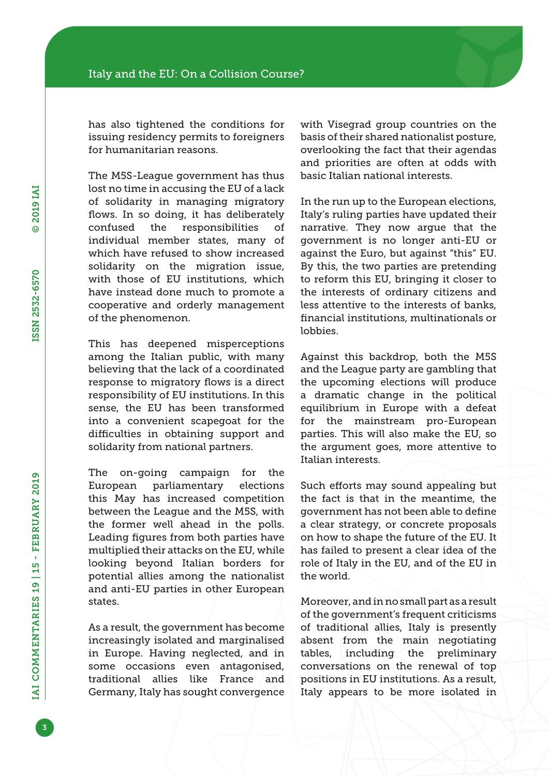has also tightened the conditions for issuing residency permits to foreigners for humanitarian reasons.

The M5S-League government has thus lost no time in accusing the EU of a lack of solidarity in managing migratory flows. In so doing, it has deliberately confused the responsibilities of individual member states, many of which have refused to show increased solidarity on the migration issue, with those of EU institutions, which have instead done much to promote a cooperative and orderly management of the phenomenon.

This has deepened misperceptions among the Italian public, with many believing that the lack of a coordinated response to migratory flows is a direct responsibility of EU institutions. In this sense, the EU has been transformed into a convenient scapegoat for the difficulties in obtaining support and solidarity from national partners.

The on-going campaign for the European parliamentary elections this May has increased competition between the League and the M5S, with the former well ahead in the polls. Leading figures from both parties have multiplied their attacks on the EU, while looking beyond Italian borders for potential allies among the nationalist and anti-EU parties in other European states.

As a result, the government has become increasingly isolated and marginalised in Europe. Having neglected, and in some occasions even antagonised, traditional allies like France and Germany, Italy has sought convergence with Visegrad group countries on the basis of their shared nationalist posture, overlooking the fact that their agendas and priorities are often at odds with basic Italian national interests.

In the run up to the European elections, Italy's ruling parties have updated their narrative. They now argue that the government is no longer anti-EU or against the Euro, but against "this" EU. By this, the two parties are pretending to reform this EU, bringing it closer to the interests of ordinary citizens and less attentive to the interests of banks, financial institutions, multinationals or lobbies.

Against this backdrop, both the M5S and the League party are gambling that the upcoming elections will produce a dramatic change in the political equilibrium in Europe with a defeat for the mainstream pro-European parties. This will also make the EU, so the argument goes, more attentive to Italian interests.

Such efforts may sound appealing but the fact is that in the meantime, the government has not been able to define a clear strategy, or concrete proposals on how to shape the future of the EU. It has failed to present a clear idea of the role of Italy in the EU, and of the EU in the world.

Moreover, and in no small part as a result of the government's frequent criticisms of traditional allies, Italy is presently absent from the main negotiating tables, including the preliminary conversations on the renewal of top positions in EU institutions. As a result, Italy appears to be more isolated in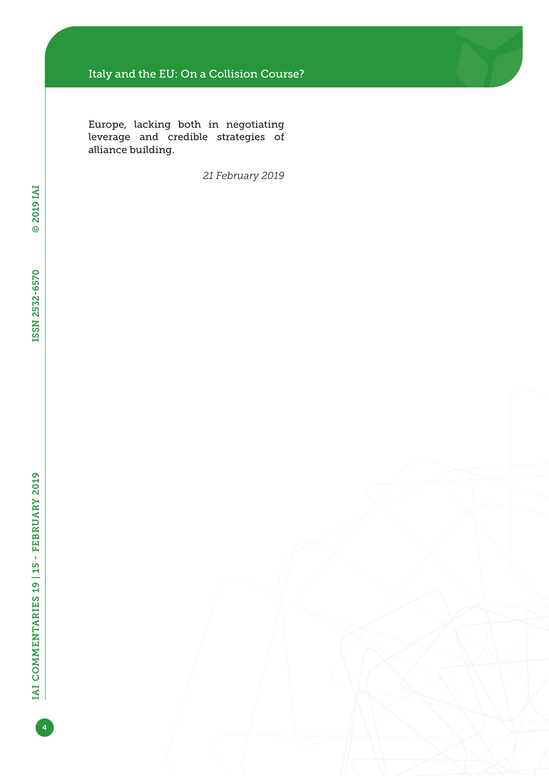### Italy and the EU: On a Collision Course?

Europe, lacking both in negotiating leverage and credible strategies of alliance building.

*21 February 2019*

4